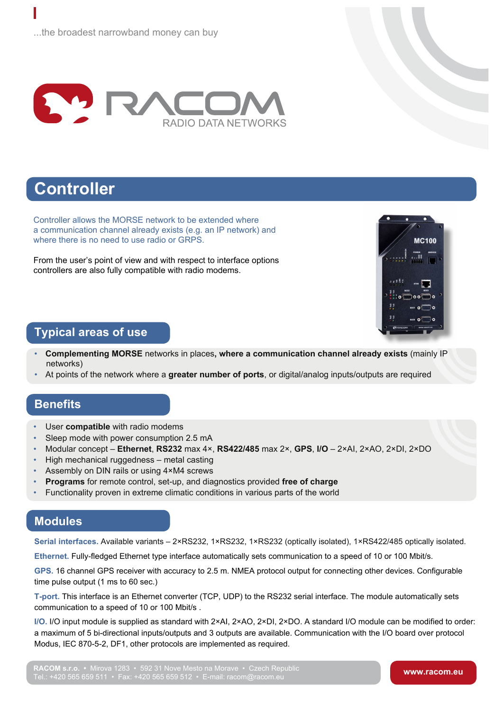

# **Controller**

Controller allows the MORSE network to be extended where a communication channel already exists (e.g. an IP network) and where there is no need to use radio or GRPS.

From the user's point of view and with respect to interface options controllers are also fully compatible with radio modems.



### **Typical areas of use**

- **Complementing MORSE** networks in places**, where a communication channel already exists** (mainly IP networks)
- At points of the network where a **greater number of ports**, or digital/analog inputs/outputs are required

#### **Benefits**

- User **compatible** with radio modems
- Sleep mode with power consumption 2.5 mA
- Modular concept **Ethernet**, **RS232** max 4×, **RS422/485** max 2×, **GPS**, **I/O**  2×AI, 2×AO, 2×DI, 2×DO
- High mechanical ruggedness metal casting
- Assembly on DIN rails or using 4×M4 screws
- **Programs** for remote control, set-up, and diagnostics provided **free of charge**
- Functionality proven in extreme climatic conditions in various parts of the world

Tel.: +420 565 659 511 • Fax: +420 565 659 512 • E-mail: racom@racom.eu

### **Modules**

**Serial interfaces.** Available variants – 2×RS232, 1×RS232, 1×RS232 (optically isolated), 1×RS422/485 optically isolated.

**Ethernet.** Fully-fledged Ethernet type interface automatically sets communication to a speed of 10 or 100 Mbit/s.

**GPS.** 16 channel GPS receiver with accuracy to 2.5 m. NMEA protocol output for connecting other devices. Configurable time pulse output (1 ms to 60 sec.)

**T-port.** This interface is an Ethernet converter (TCP, UDP) to the RS232 serial interface. The module automatically sets communication to a speed of 10 or 100 Mbit/s .

**I/O.** I/O input module is supplied as standard with 2×AI, 2×AO, 2×DI, 2×DO. A standard I/O module can be modified to order: a maximum of 5 bi-directional inputs/outputs and 3 outputs are available. Communication with the I/O board over protocol Modus, IEC 870-5-2, DF1, other protocols are implemented as required.